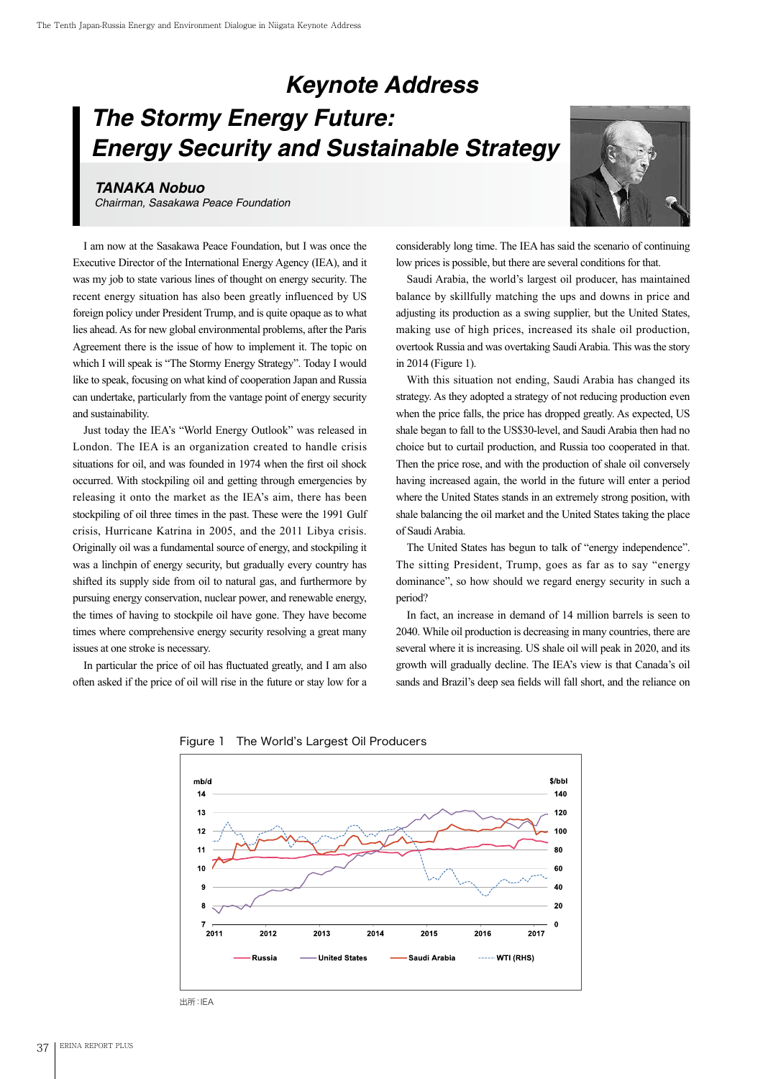## *Keynote Address The Stormy Energy Future: Energy Security and Sustainable Strategy*

## *TANAKA Nobuo*

*Chairman, Sasakawa Peace Foundation*

I am now at the Sasakawa Peace Foundation, but I was once the Executive Director of the International Energy Agency (IEA), and it was my job to state various lines of thought on energy security. The recent energy situation has also been greatly influenced by US foreign policy under President Trump, and is quite opaque as to what lies ahead. As for new global environmental problems, after the Paris Agreement there is the issue of how to implement it. The topic on which I will speak is "The Stormy Energy Strategy". Today I would like to speak, focusing on what kind of cooperation Japan and Russia can undertake, particularly from the vantage point of energy security and sustainability.

Just today the IEA's "World Energy Outlook" was released in London. The IEA is an organization created to handle crisis situations for oil, and was founded in 1974 when the first oil shock occurred. With stockpiling oil and getting through emergencies by releasing it onto the market as the IEA's aim, there has been stockpiling of oil three times in the past. These were the 1991 Gulf crisis, Hurricane Katrina in 2005, and the 2011 Libya crisis. Originally oil was a fundamental source of energy, and stockpiling it was a linchpin of energy security, but gradually every country has shifted its supply side from oil to natural gas, and furthermore by pursuing energy conservation, nuclear power, and renewable energy, the times of having to stockpile oil have gone. They have become times where comprehensive energy security resolving a great many issues at one stroke is necessary.

In particular the price of oil has fluctuated greatly, and I am also often asked if the price of oil will rise in the future or stay low for a



considerably long time. The IEA has said the scenario of continuing low prices is possible, but there are several conditions for that.

Saudi Arabia, the world's largest oil producer, has maintained balance by skillfully matching the ups and downs in price and adjusting its production as a swing supplier, but the United States, making use of high prices, increased its shale oil production, overtook Russia and was overtaking Saudi Arabia. This was the story in 2014 (Figure 1).

With this situation not ending, Saudi Arabia has changed its strategy. As they adopted a strategy of not reducing production even when the price falls, the price has dropped greatly. As expected, US shale began to fall to the US\$30-level, and Saudi Arabia then had no choice but to curtail production, and Russia too cooperated in that. Then the price rose, and with the production of shale oil conversely having increased again, the world in the future will enter a period where the United States stands in an extremely strong position, with shale balancing the oil market and the United States taking the place of Saudi Arabia.

The United States has begun to talk of "energy independence". The sitting President, Trump, goes as far as to say "energy dominance", so how should we regard energy security in such a period?

In fact, an increase in demand of 14 million barrels is seen to 2040. While oil production is decreasing in many countries, there are several where it is increasing. US shale oil will peak in 2020, and its growth will gradually decline. The IEA's view is that Canada's oil sands and Brazil's deep sea fields will fall short, and the reliance on



Figure 1 The World's Largest Oil Producers

出所:IEA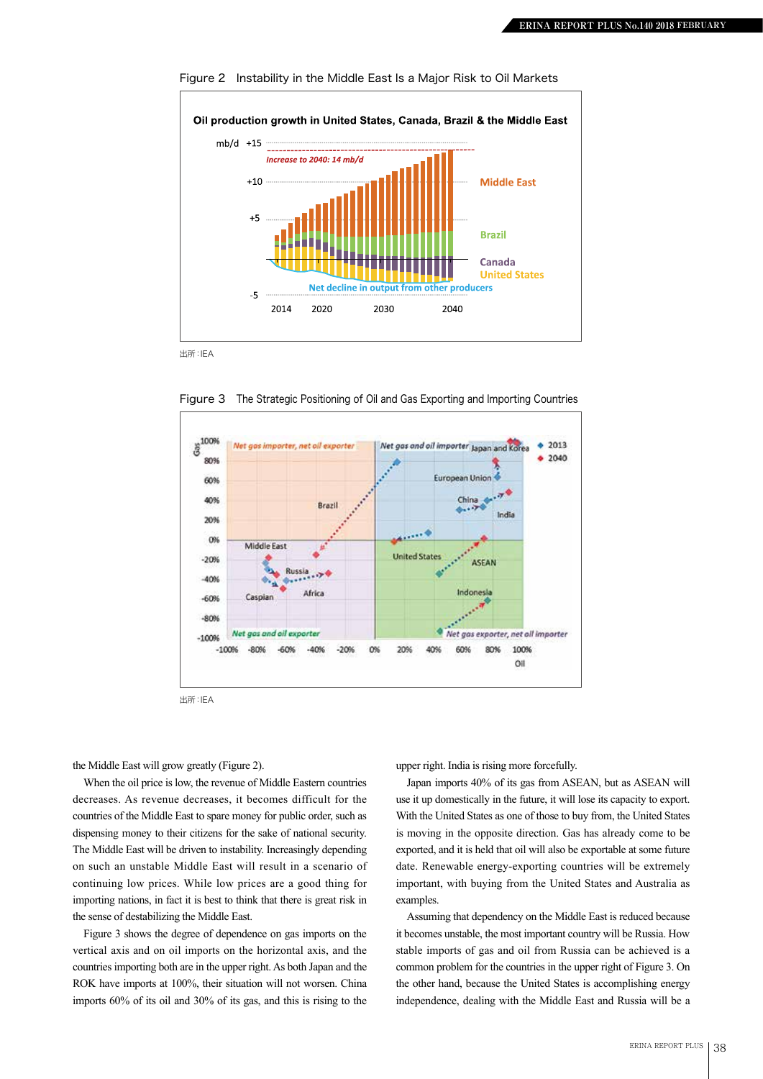

Figure 2 Instability in the Middle East Is a Major Risk to Oil Markets

出所:IEA



Figure 3 The Strategic Positioning of Oil and Gas Exporting and Importing Countries

出所:IEA

the Middle East will grow greatly (Figure 2).

When the oil price is low, the revenue of Middle Eastern countries decreases. As revenue decreases, it becomes difficult for the countries of the Middle East to spare money for public order, such as dispensing money to their citizens for the sake of national security. The Middle East will be driven to instability. Increasingly depending on such an unstable Middle East will result in a scenario of continuing low prices. While low prices are a good thing for importing nations, in fact it is best to think that there is great risk in the sense of destabilizing the Middle East.

Figure 3 shows the degree of dependence on gas imports on the vertical axis and on oil imports on the horizontal axis, and the countries importing both are in the upper right. As both Japan and the ROK have imports at 100%, their situation will not worsen. China imports 60% of its oil and 30% of its gas, and this is rising to the

upper right. India is rising more forcefully.

Japan imports 40% of its gas from ASEAN, but as ASEAN will use it up domestically in the future, it will lose its capacity to export. With the United States as one of those to buy from, the United States is moving in the opposite direction. Gas has already come to be exported, and it is held that oil will also be exportable at some future date. Renewable energy-exporting countries will be extremely important, with buying from the United States and Australia as examples.

Assuming that dependency on the Middle East is reduced because it becomes unstable, the most important country will be Russia. How stable imports of gas and oil from Russia can be achieved is a common problem for the countries in the upper right of Figure 3. On the other hand, because the United States is accomplishing energy independence, dealing with the Middle East and Russia will be a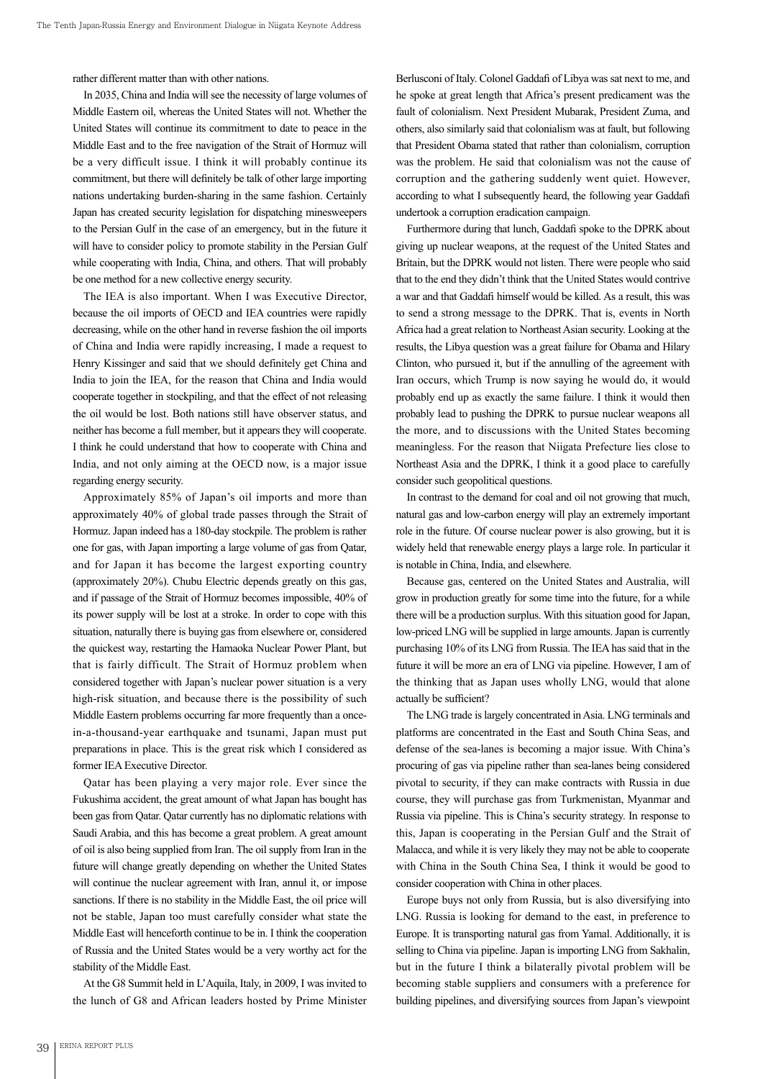rather different matter than with other nations.

In 2035, China and India will see the necessity of large volumes of Middle Eastern oil, whereas the United States will not. Whether the United States will continue its commitment to date to peace in the Middle East and to the free navigation of the Strait of Hormuz will be a very difficult issue. I think it will probably continue its commitment, but there will definitely be talk of other large importing nations undertaking burden-sharing in the same fashion. Certainly Japan has created security legislation for dispatching minesweepers to the Persian Gulf in the case of an emergency, but in the future it will have to consider policy to promote stability in the Persian Gulf while cooperating with India, China, and others. That will probably be one method for a new collective energy security.

The IEA is also important. When I was Executive Director, because the oil imports of OECD and IEA countries were rapidly decreasing, while on the other hand in reverse fashion the oil imports of China and India were rapidly increasing, I made a request to Henry Kissinger and said that we should definitely get China and India to join the IEA, for the reason that China and India would cooperate together in stockpiling, and that the effect of not releasing the oil would be lost. Both nations still have observer status, and neither has become a full member, but it appears they will cooperate. I think he could understand that how to cooperate with China and India, and not only aiming at the OECD now, is a major issue regarding energy security.

Approximately 85% of Japan's oil imports and more than approximately 40% of global trade passes through the Strait of Hormuz. Japan indeed has a 180-day stockpile. The problem is rather one for gas, with Japan importing a large volume of gas from Qatar, and for Japan it has become the largest exporting country (approximately 20%). Chubu Electric depends greatly on this gas, and if passage of the Strait of Hormuz becomes impossible, 40% of its power supply will be lost at a stroke. In order to cope with this situation, naturally there is buying gas from elsewhere or, considered the quickest way, restarting the Hamaoka Nuclear Power Plant, but that is fairly difficult. The Strait of Hormuz problem when considered together with Japan's nuclear power situation is a very high-risk situation, and because there is the possibility of such Middle Eastern problems occurring far more frequently than a oncein-a-thousand-year earthquake and tsunami, Japan must put preparations in place. This is the great risk which I considered as former IEA Executive Director.

Qatar has been playing a very major role. Ever since the Fukushima accident, the great amount of what Japan has bought has been gas from Qatar. Qatar currently has no diplomatic relations with Saudi Arabia, and this has become a great problem. A great amount of oil is also being supplied from Iran. The oil supply from Iran in the future will change greatly depending on whether the United States will continue the nuclear agreement with Iran, annul it, or impose sanctions. If there is no stability in the Middle East, the oil price will not be stable, Japan too must carefully consider what state the Middle East will henceforth continue to be in. I think the cooperation of Russia and the United States would be a very worthy act for the stability of the Middle East.

At the G8 Summit held in L'Aquila, Italy, in 2009, I was invited to the lunch of G8 and African leaders hosted by Prime Minister

Berlusconi of Italy. Colonel Gaddafi of Libya was sat next to me, and he spoke at great length that Africa's present predicament was the fault of colonialism. Next President Mubarak, President Zuma, and others, also similarly said that colonialism was at fault, but following that President Obama stated that rather than colonialism, corruption was the problem. He said that colonialism was not the cause of corruption and the gathering suddenly went quiet. However, according to what I subsequently heard, the following year Gaddafi undertook a corruption eradication campaign.

Furthermore during that lunch, Gaddafi spoke to the DPRK about giving up nuclear weapons, at the request of the United States and Britain, but the DPRK would not listen. There were people who said that to the end they didn't think that the United States would contrive a war and that Gaddafi himself would be killed. As a result, this was to send a strong message to the DPRK. That is, events in North Africa had a great relation to Northeast Asian security. Looking at the results, the Libya question was a great failure for Obama and Hilary Clinton, who pursued it, but if the annulling of the agreement with Iran occurs, which Trump is now saying he would do, it would probably end up as exactly the same failure. I think it would then probably lead to pushing the DPRK to pursue nuclear weapons all the more, and to discussions with the United States becoming meaningless. For the reason that Niigata Prefecture lies close to Northeast Asia and the DPRK, I think it a good place to carefully consider such geopolitical questions.

In contrast to the demand for coal and oil not growing that much, natural gas and low-carbon energy will play an extremely important role in the future. Of course nuclear power is also growing, but it is widely held that renewable energy plays a large role. In particular it is notable in China, India, and elsewhere.

Because gas, centered on the United States and Australia, will grow in production greatly for some time into the future, for a while there will be a production surplus. With this situation good for Japan, low-priced LNG will be supplied in large amounts. Japan is currently purchasing 10% of its LNG from Russia. The IEA has said that in the future it will be more an era of LNG via pipeline. However, I am of the thinking that as Japan uses wholly LNG, would that alone actually be sufficient?

The LNG trade is largely concentrated in Asia. LNG terminals and platforms are concentrated in the East and South China Seas, and defense of the sea-lanes is becoming a major issue. With China's procuring of gas via pipeline rather than sea-lanes being considered pivotal to security, if they can make contracts with Russia in due course, they will purchase gas from Turkmenistan, Myanmar and Russia via pipeline. This is China's security strategy. In response to this, Japan is cooperating in the Persian Gulf and the Strait of Malacca, and while it is very likely they may not be able to cooperate with China in the South China Sea, I think it would be good to consider cooperation with China in other places.

Europe buys not only from Russia, but is also diversifying into LNG. Russia is looking for demand to the east, in preference to Europe. It is transporting natural gas from Yamal. Additionally, it is selling to China via pipeline. Japan is importing LNG from Sakhalin, but in the future I think a bilaterally pivotal problem will be becoming stable suppliers and consumers with a preference for building pipelines, and diversifying sources from Japan's viewpoint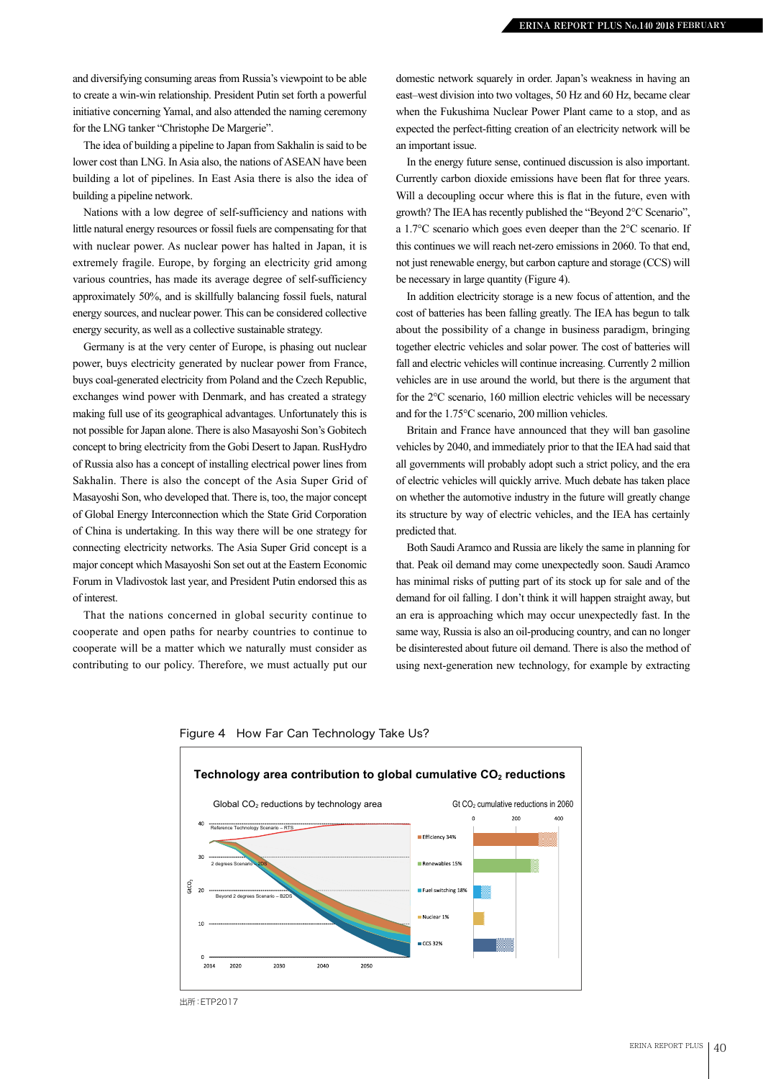and diversifying consuming areas from Russia's viewpoint to be able to create a win-win relationship. President Putin set forth a powerful initiative concerning Yamal, and also attended the naming ceremony for the LNG tanker "Christophe De Margerie".

The idea of building a pipeline to Japan from Sakhalin is said to be lower cost than LNG. In Asia also, the nations of ASEAN have been building a lot of pipelines. In East Asia there is also the idea of building a pipeline network.

Nations with a low degree of self-sufficiency and nations with little natural energy resources or fossil fuels are compensating for that with nuclear power. As nuclear power has halted in Japan, it is extremely fragile. Europe, by forging an electricity grid among various countries, has made its average degree of self-sufficiency approximately 50%, and is skillfully balancing fossil fuels, natural energy sources, and nuclear power. This can be considered collective energy security, as well as a collective sustainable strategy.

Germany is at the very center of Europe, is phasing out nuclear power, buys electricity generated by nuclear power from France, buys coal-generated electricity from Poland and the Czech Republic, exchanges wind power with Denmark, and has created a strategy making full use of its geographical advantages. Unfortunately this is not possible for Japan alone. There is also Masayoshi Son's Gobitech concept to bring electricity from the Gobi Desert to Japan. RusHydro of Russia also has a concept of installing electrical power lines from Sakhalin. There is also the concept of the Asia Super Grid of Masayoshi Son, who developed that. There is, too, the major concept of Global Energy Interconnection which the State Grid Corporation of China is undertaking. In this way there will be one strategy for connecting electricity networks. The Asia Super Grid concept is a major concept which Masayoshi Son set out at the Eastern Economic Forum in Vladivostok last year, and President Putin endorsed this as of interest.

That the nations concerned in global security continue to cooperate and open paths for nearby countries to continue to cooperate will be a matter which we naturally must consider as contributing to our policy. Therefore, we must actually put our

domestic network squarely in order. Japan's weakness in having an east–west division into two voltages, 50 Hz and 60 Hz, became clear when the Fukushima Nuclear Power Plant came to a stop, and as expected the perfect-fitting creation of an electricity network will be an important issue.

In the energy future sense, continued discussion is also important. Currently carbon dioxide emissions have been flat for three years. Will a decoupling occur where this is flat in the future, even with growth? The IEA has recently published the "Beyond 2°C Scenario", a 1.7°C scenario which goes even deeper than the 2°C scenario. If this continues we will reach net-zero emissions in 2060. To that end, not just renewable energy, but carbon capture and storage (CCS) will be necessary in large quantity (Figure 4).

In addition electricity storage is a new focus of attention, and the cost of batteries has been falling greatly. The IEA has begun to talk about the possibility of a change in business paradigm, bringing together electric vehicles and solar power. The cost of batteries will fall and electric vehicles will continue increasing. Currently 2 million vehicles are in use around the world, but there is the argument that for the 2°C scenario, 160 million electric vehicles will be necessary and for the 1.75°C scenario, 200 million vehicles.

Britain and France have announced that they will ban gasoline vehicles by 2040, and immediately prior to that the IEA had said that all governments will probably adopt such a strict policy, and the era of electric vehicles will quickly arrive. Much debate has taken place on whether the automotive industry in the future will greatly change its structure by way of electric vehicles, and the IEA has certainly predicted that.

Both Saudi Aramco and Russia are likely the same in planning for that. Peak oil demand may come unexpectedly soon. Saudi Aramco has minimal risks of putting part of its stock up for sale and of the demand for oil falling. I don't think it will happen straight away, but an era is approaching which may occur unexpectedly fast. In the same way, Russia is also an oil-producing country, and can no longer be disinterested about future oil demand. There is also the method of using next-generation new technology, for example by extracting



## Figure 4 How Far Can Technology Take Us?

出所:ETP2017